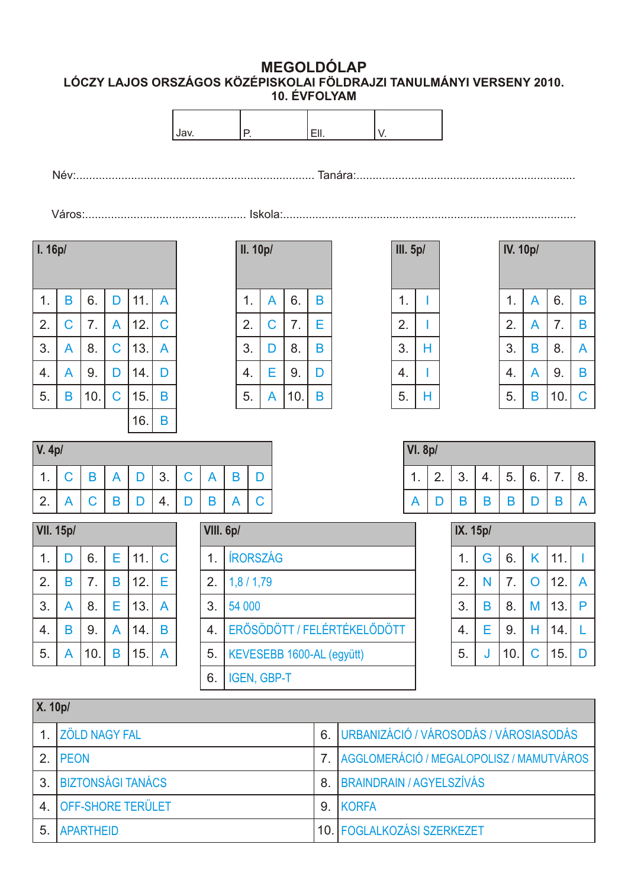**MEGOLDÓLAP LÓCZY LAJOS ORSZÁGOS KÖZÉPISKOLAI FÖLDRAJZI TANULMÁNYI VERSENY 2010. 10. ÉVFOLYAM**



|                | <b>X.</b> 10p/           |    |                                             |  |  |  |  |  |
|----------------|--------------------------|----|---------------------------------------------|--|--|--|--|--|
|                | 1. ZÖLD NAGY FAL         |    | 6. URBANIZÁCIÓ / VÁROSODÁS / VÁROSIASODÁS   |  |  |  |  |  |
|                | 2. PEON                  |    | 7. AGGLOMERÁCIÓ / MEGALOPOLISZ / MAMUTVÁROS |  |  |  |  |  |
|                | 3. BIZTONSÁGI TANÁCS     | 8. | <b>BRAINDRAIN / AGYELSZÍVÁS</b>             |  |  |  |  |  |
| $\overline{4}$ | <b>OFF-SHORE TERÜLET</b> | 9. | KORFA                                       |  |  |  |  |  |
| 5              | <b>APARTHEID</b>         |    | 10. FOGLALKOZÁSI SZERKEZET                  |  |  |  |  |  |

6.

IGEN, GBP-T